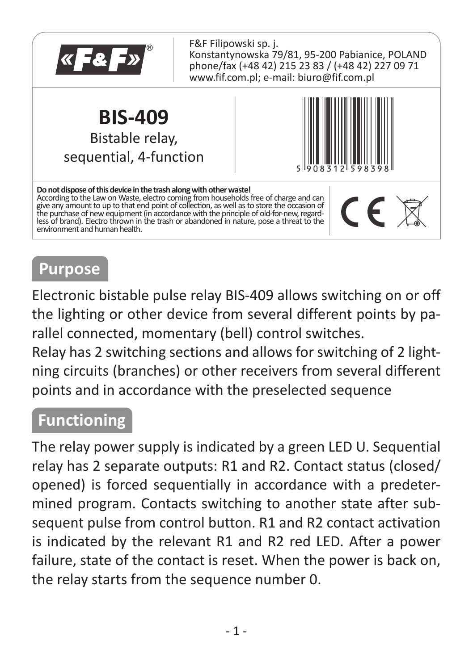

# **Purpose**

Electronic bistable pulse relay BIS-409 allows switching on or off the lighting or other device from several different points by parallel connected, momentary (bell) control switches.

Relay has 2 switching sections and allows for switching of 2 lightning circuits (branches) or other receivers from several different points and in accordance with the preselected sequence

## **Functioning**

The relay power supply is indicated by a green LED U. Sequential relay has 2 separate outputs: R1 and R2. Contact status (closed/ opened) is forced sequentially in accordance with a predetermined program. Contacts switching to another state after subsequent pulse from control button. R1 and R2 contact activation is indicated by the relevant R1 and R2 red LED. After a power failure, state of the contact is reset. When the power is back on, the relay starts from the sequence number 0.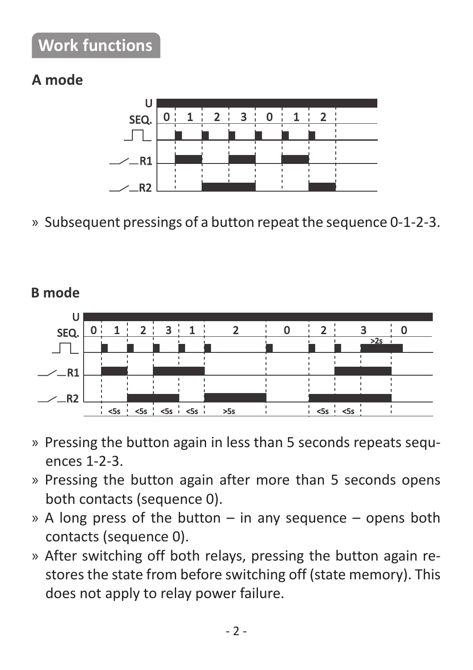# **Work functions**

#### A mode



» Subsequent pressings of a button repeat the sequence 0-1-2-3.

**B** mode



- » Pressing the button again in less than 5 seconds repeats sequences 1-2-3.
- » Pressing the button again after more than 5 seconds opens both contacts (sequence 0).
- » A long press of the button in any sequence opens both contacts (sequence 0).
- » After switching off both relays, pressing the button again restores the state from before switching off (state memory). This does not apply to relay power failure.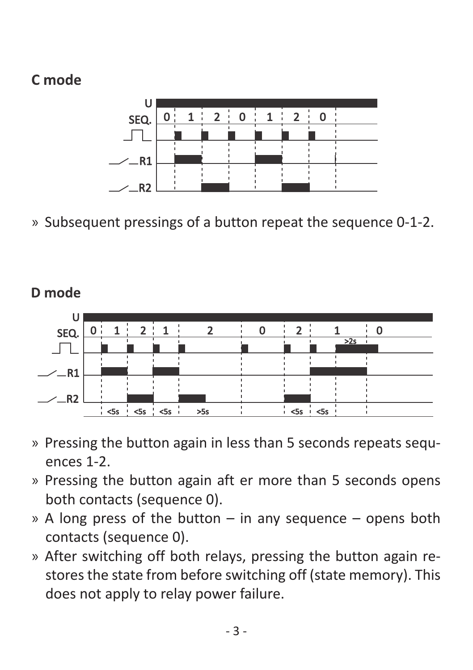### Cmode

D mode



» Subsequent pressings of a button repeat the sequence 0-1-2.

#### $\overline{\phantom{a}}$  $\overline{ }$  $\overline{0}$  $\overline{0}$ **SEO**  $\Box$  $-$ R1  $\overline{\phantom{a}}$   $\overline{\phantom{a}}$  $550$

- » Pressing the button again in less than 5 seconds repeats sequences 1-2.
- » Pressing the button again aft er more than 5 seconds opens both contacts (sequence 0).
- » A long press of the button in any sequence opens both contacts (sequence 0).
- » After switching off both relays, pressing the button again restores the state from before switching off (state memory). This does not apply to relay power failure.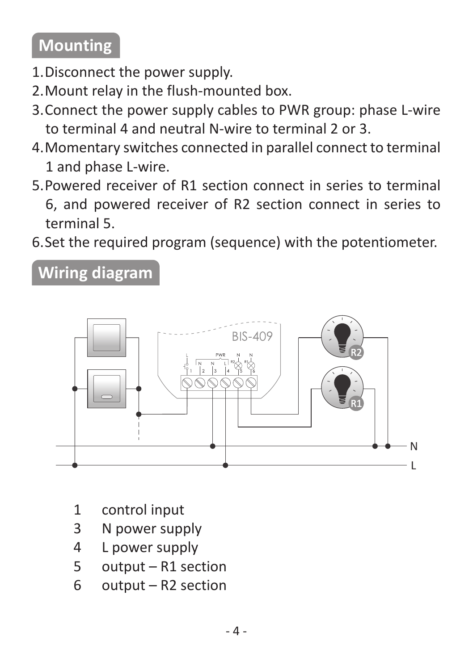# **Mounting**

- 1. Disconnect the power supply.
- 2. Mount relay in the flush-mounted box.
- 3. Connect the power supply cables to PWR group: phase L-wire to terminal 4 and neutral N-wire to terminal 2 or 3.
- 4. Momentary switches connected in parallel connect to terminal 1 and phase L-wire.
- 5. Powered receiver of R1 section connect in series to terminal 6, and powered receiver of R2 section connect in series to terminal 5.
- 6. Set the required program (sequence) with the potentiometer.

**Wiring diagram**



- 1 control input
- 3 N power supply
- 4 L power supply
- 5 output R1 section
- 6 output R2 section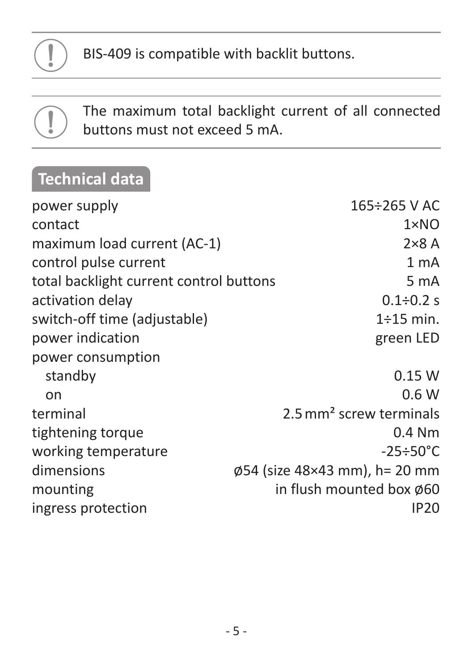

BIS-409 is compatible with backlit buttons.

The maximum total backlight current of all connected buttons must not exceed 5 mA.

# **Technical data**

| power supply                            | $165 \div 265$ V AC                 |
|-----------------------------------------|-------------------------------------|
| contact                                 | $1 \times N$ O                      |
| maximum load current (AC-1)             | $2\times8$ A                        |
| control pulse current                   | 1 <sub>mA</sub>                     |
| total backlight current control buttons | 5 <sub>m</sub> A                    |
| activation delay                        | $0.1 \div 0.2 s$                    |
| switch-off time (adjustable)            | $1\div 15$ min.                     |
| power indication                        | green LED                           |
| power consumption                       |                                     |
| standby                                 | 0.15W                               |
| on                                      | 0.6W                                |
| terminal                                | 2.5 mm <sup>2</sup> screw terminals |
| tightening torque                       | $0.4$ Nm                            |
| working temperature                     | $-25 \div 50^{\circ}$ C             |
| dimensions                              | Ø54 (size 48×43 mm), h= 20 mm       |
| mounting                                | in flush mounted box Ø60            |
| ingress protection                      | IP20                                |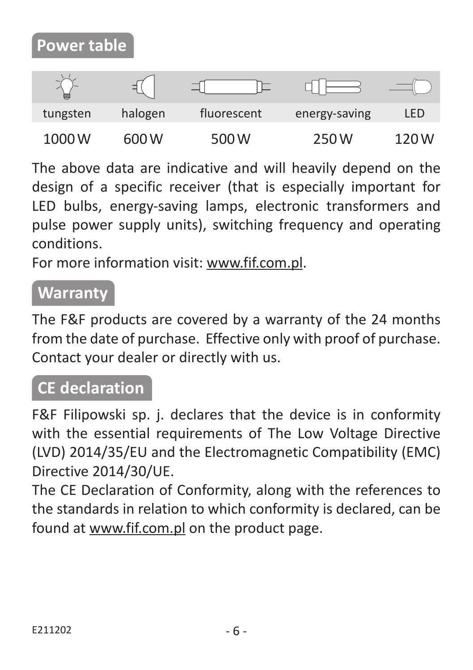# **Power table**

| m.       |         |             |               |       |
|----------|---------|-------------|---------------|-------|
| tungsten | halogen | fluorescent | energy-saving | LED   |
| 1000W    | 600 W   | 500 W       | 250 W         | 120 W |

The above data are indicative and will heavily depend on the design of a specific receiver (that is especially important for LED bulbs, energy-saving lamps, electronic transformers and pulse power supply units), switching frequency and operating conditions.

For more information visit: www.fif.com.pl.

## **Warranty**

The F&F products are covered by a warranty of the 24 months from the date of purchase. Effective only with proof of purchase. Contact your dealer or directly with us.

## **CE declaration**

F&F Filipowski sp. j. declares that the device is in conformity with the essential requirements of The Low Voltage Directive (LVD) 2014/35/EU and the Electromagnetic Compatibility (EMC) Directive 2014/30/UE.

The CE Declaration of Conformity, along with the references to the standards in relation to which conformity is declared, can be found at www.fif.com.pl on the product page.